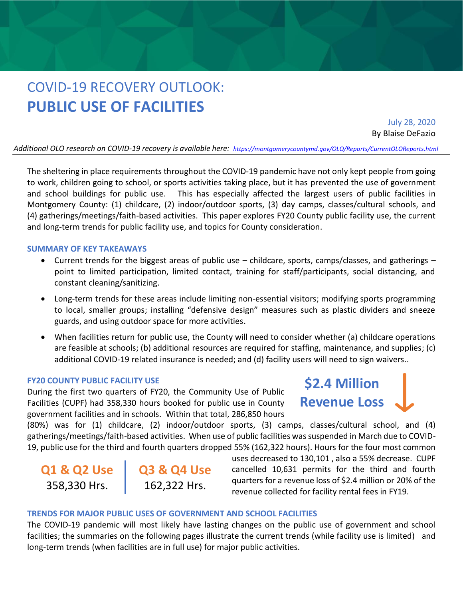# COVID-19 RECOVERY OUTLOOK: **PUBLIC USE OF FACILITIES**

July 28, 2020 By Blaise DeFazio

*Additional OLO research on COVID-19 recovery is available here: <https://montgomerycountymd.gov/OLO/Reports/CurrentOLOReports.html>*

The sheltering in place requirements throughout the COVID-19 pandemic have not only kept people from going to work, children going to school, or sports activities taking place, but it has prevented the use of government and school buildings for public use. This has especially affected the largest users of public facilities in Montgomery County: (1) childcare, (2) indoor/outdoor sports, (3) day camps, classes/cultural schools, and (4) gatherings/meetings/faith-based activities. This paper explores FY20 County public facility use, the current and long-term trends for public facility use, and topics for County consideration.

#### **SUMMARY OF KEY TAKEAWAYS**

- Current trends for the biggest areas of public use childcare, sports, camps/classes, and gatherings point to limited participation, limited contact, training for staff/participants, social distancing, and constant cleaning/sanitizing.
- Long-term trends for these areas include limiting non-essential visitors; modifying sports programming to local, smaller groups; installing "defensive design" measures such as plastic dividers and sneeze guards, and using outdoor space for more activities.
- When facilities return for public use, the County will need to consider whether (a) childcare operations are feasible at schools; (b) additional resources are required for staffing, maintenance, and supplies; (c) additional COVID-19 related insurance is needed; and (d) facility users will need to sign waivers..

#### **FY20 COUNTY PUBLIC FACILITY USE**

During the first two quarters of FY20, the Community Use of Public Facilities (CUPF) had 358,330 hours booked for public use in County government facilities and in schools. Within that total, 286,850 hours

**\$2.4 Million Revenue Loss**

(80%) was for (1) childcare, (2) indoor/outdoor sports, (3) camps, classes/cultural school, and (4) gatherings/meetings/faith-based activities. When use of public facilities was suspended in March due to COVID-19, public use for the third and fourth quarters dropped 55% (162,322 hours). Hours for the four most common

**Q1 & Q2 Use** 358,330 Hrs.

**Q3 & Q4 Use** 162,322 Hrs.

uses decreased to 130,101 , also a 55% decrease. CUPF cancelled 10,631 permits for the third and fourth quarters for a revenue loss of \$2.4 million or 20% of the revenue collected for facility rental fees in FY19.

#### **TRENDS FOR MAJOR PUBLIC USES OF GOVERNMENT AND SCHOOL FACILITIES**

The COVID-19 pandemic will most likely have lasting changes on the public use of government and school facilities; the summaries on the following pages illustrate the current trends (while facility use is limited) and long-term trends (when facilities are in full use) for major public activities.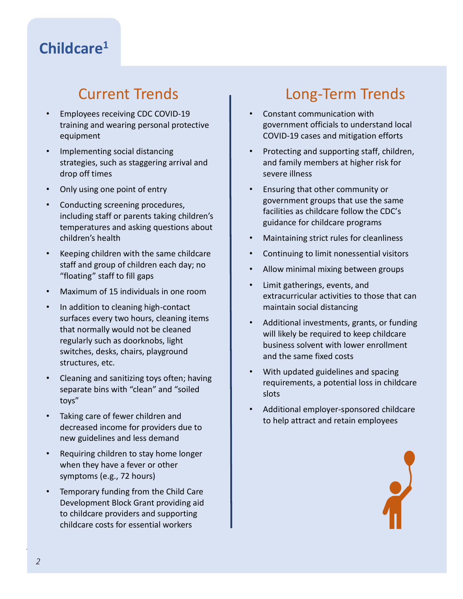### **Childcare<sup>1</sup>**

- Employees receiving CDC COVID-19 training and wearing personal protective equipment
- Implementing social distancing strategies, such as staggering arrival and drop off times
- Only using one point of entry
- Conducting screening procedures, including staff or parents taking children's temperatures and asking questions about children's health
- Keeping children with the same childcare staff and group of children each day; no "floating" staff to fill gaps
- Maximum of 15 individuals in one room
- In addition to cleaning high-contact surfaces every two hours, cleaning items that normally would not be cleaned regularly such as doorknobs, light switches, desks, chairs, playground structures, etc.
- Cleaning and sanitizing toys often; having separate bins with "clean" and "soiled toys"
- Taking care of fewer children and decreased income for providers due to new guidelines and less demand
- Requiring children to stay home longer when they have a fever or other symptoms (e.g., 72 hours)
- Temporary funding from the Child Care Development Block Grant providing aid to childcare providers and supporting childcare costs for essential workers

## Current Trends Trends Long-Term Trends

- Constant communication with government officials to understand local COVID-19 cases and mitigation efforts
- Protecting and supporting staff, children, and family members at higher risk for severe illness
- Ensuring that other community or government groups that use the same facilities as childcare follow the CDC's guidance for childcare programs
- Maintaining strict rules for cleanliness
- Continuing to limit nonessential visitors
- Allow minimal mixing between groups
- Limit gatherings, events, and extracurricular activities to those that can maintain social distancing
- Additional investments, grants, or funding will likely be required to keep childcare business solvent with lower enrollment and the same fixed costs
- With updated guidelines and spacing requirements, a potential loss in childcare slots
- Additional employer-sponsored childcare to help attract and retain employees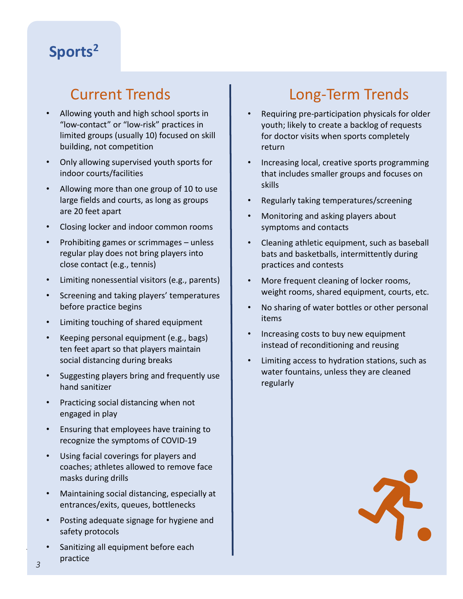# **Sports<sup>2</sup>**

- Allowing youth and high school sports in "low-contact" or "low-risk" practices in limited groups (usually 10) focused on skill building, not competition
- Recipe Card for Childcare indoor courts/facilities • Only allowing supervised youth sports for
- **Eurrent Funds and courts, as long as groups** • Allowing more than one group of 10 to use are 20 feet apart
	- Bulletin • Closing locker and indoor common rooms
- **TAKEAWAYSIONS** close contact (e.g., tennis) • Prohibiting games or scrimmages – unless regular play does not bring players into
	- Limiting nonessential visitors (e.g., parents)
- **•** Screening and taking players' temperatures before practice begins
- Limiting touching of shared equipment and a wave of a wave of a wave of evidence of a wave of a wave of a wave of  $\sim$ 
	- erful text apart so that players maintain<br>Consider how best to resident the residents at the second protection, including at the second to resident at th household istancing during breaks<br>social distancing during breaks<br>social distancing during breaks • Keeping personal equipment (e.g., bags) ten feet apart so that players maintain
		- $h_{\text{max}}$  to low-income residents in designing assistance programs;  $h_{\text{max}}$ hand sanitizer
	- $\frac{1}{2}$  determine what role new tenant protections can play in limiting evidence  $\frac{1}{2}$ • Practicing social distancing when not engaged in play
	- Ensuring that employees have training to **the emergency response to the emergency**, and the emergency, and the emergency, in response to the emergency, and the emergency, and the emergency, and the emergency of the emerg  $s = \frac{1}{2}$  such as the greated flexibility of  $\frac{1}{2}$  and  $\frac{1}{2}$  residents with the greatest unit the greatest unit the greatest unit the greatest unit the greatest unit the greatest unit of  $\frac{1}{2}$  and  $\frac{1}{2}$  need. recognize the symptoms of COVID-19
- In the longer term is a consider which policymakers are temporary and which policy changes are temporary and which need to be consider which need to be considered to be considered to be considered to be considered to be co ongoing tenant protections in response to the emergency as well as well as well as well as well as well as well as well as well as well as well as well as well as well as well as well as well as well as well as well as wel • Using facial coverings for players and
- Maintaining social distancing, especially at entrances/exits, queues, bottlenecks
- Posting adequate signage for hygiene and safety protocols
- *COVID-19 Recovery Outlook: Public Use of Facilities*  Sanitizing all equipment before each practice

# Current Trends | Long-Term Trends

- Requiring pre-participation physicals for older youth; likely to create a backlog of requests for doctor visits when sports completely return
- Increasing local, creative sports programming that includes smaller groups and focuses on skills
- Regularly taking temperatures/screening
- Monitoring and asking players about symptoms and contacts
- Cleaning athletic equipment, such as baseball bats and basketballs, intermittently during practices and contests
- More frequent cleaning of locker rooms, weight rooms, shared equipment, courts, etc.
- No sharing of water bottles or other personal items
- Keeping personal equipment (e.g. bags) **I** Increasing costs to buy new equipment instead of reconditioning and reusing
	- Suggesting players bring and frequently use water fountains, unless they are cleaned<br>hand sanifizer • Limiting access to hydration stations, such as water fountains, unless they are cleaned regularly

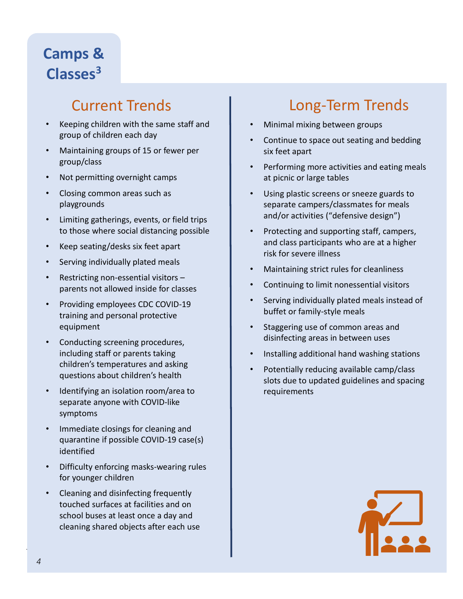# **Camps & Classes<sup>3</sup>**

- Keeping children with the same staff and group of children each day
- Maintaining groups of 15 or fewer per group/class
- Not permitting overnight camps
- Closing common areas such as playgrounds
- Limiting gatherings, events, or field trips to those where social distancing possible
- Keep seating/desks six feet apart
- Serving individually plated meals
- Restricting non-essential visitors parents not allowed inside for classes
- Providing employees CDC COVID-19 training and personal protective equipment
- Conducting screening procedures, including staff or parents taking children's temperatures and asking questions about children's health
- Identifying an isolation room/area to separate anyone with COVID-like symptoms
- Immediate closings for cleaning and quarantine if possible COVID-19 case(s) identified
- Difficulty enforcing masks-wearing rules for younger children
- Cleaning and disinfecting frequently touched surfaces at facilities and on school buses at least once a day and cleaning shared objects after each use

## Current Trends **Long-Term Trends**

- Minimal mixing between groups
- Continue to space out seating and bedding six feet apart
- Performing more activities and eating meals at picnic or large tables
- Using plastic screens or sneeze guards to separate campers/classmates for meals and/or activities ("defensive design")
- Protecting and supporting staff, campers, and class participants who are at a higher risk for severe illness
- Maintaining strict rules for cleanliness
- Continuing to limit nonessential visitors
- Serving individually plated meals instead of buffet or family-style meals
- Staggering use of common areas and disinfecting areas in between uses
- Installing additional hand washing stations
- Potentially reducing available camp/class slots due to updated guidelines and spacing requirements

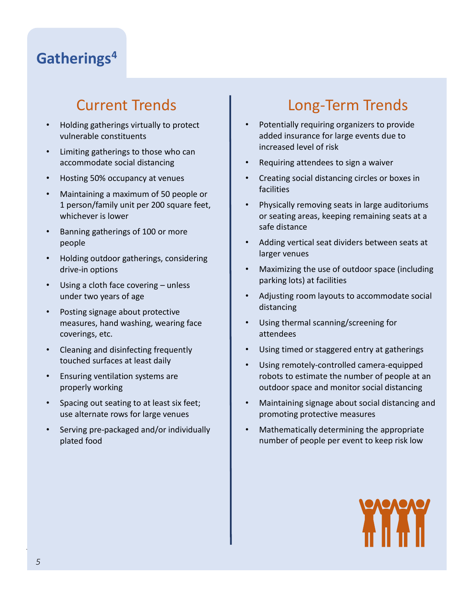## **Gatherings<sup>4</sup>**

- Holding gatherings virtually to protect vulnerable constituents
- Limiting gatherings to those who can accommodate social distancing
- Hosting 50% occupancy at venues
- Maintaining a maximum of 50 people or 1 person/family unit per 200 square feet, whichever is lower
- Banning gatherings of 100 or more people
- Holding outdoor gatherings, considering drive-in options
- Using a cloth face covering unless under two years of age
- Posting signage about protective measures, hand washing, wearing face coverings, etc.
- Cleaning and disinfecting frequently touched surfaces at least daily
- Ensuring ventilation systems are properly working
- Spacing out seating to at least six feet; use alternate rows for large venues
- Serving pre-packaged and/or individually plated food

# Current Trends Long-Term Trends

- Potentially requiring organizers to provide added insurance for large events due to increased level of risk
- Requiring attendees to sign a waiver
- Creating social distancing circles or boxes in facilities
- Physically removing seats in large auditoriums or seating areas, keeping remaining seats at a safe distance
- Adding vertical seat dividers between seats at larger venues
- Maximizing the use of outdoor space (including parking lots) at facilities
- Adjusting room layouts to accommodate social distancing
- Using thermal scanning/screening for attendees
- Using timed or staggered entry at gatherings
- Using remotely-controlled camera-equipped robots to estimate the number of people at an outdoor space and monitor social distancing
- Maintaining signage about social distancing and promoting protective measures
- Mathematically determining the appropriate number of people per event to keep risk low

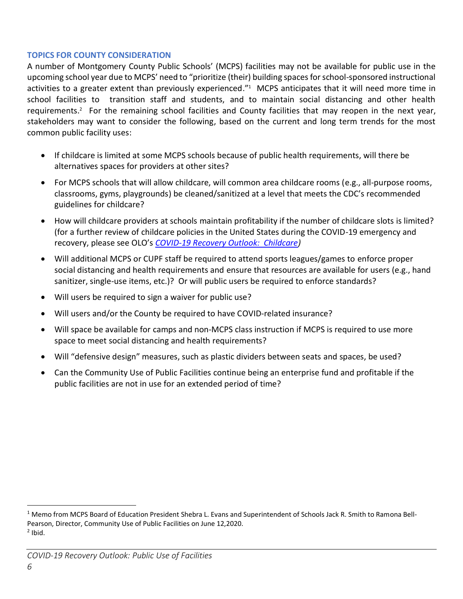#### **TOPICS FOR COUNTY CONSIDERATION**

A number of Montgomery County Public Schools' (MCPS) facilities may not be available for public use in the upcoming school year due to MCPS' need to "prioritize (their) building spaces for school-sponsored instructional activities to a greater extent than previously experienced."<sup>1</sup> MCPS anticipates that it will need more time in school facilities to transition staff and students, and to maintain social distancing and other health requirements.<sup>2</sup> For the remaining school facilities and County facilities that may reopen in the next year, stakeholders may want to consider the following, based on the current and long term trends for the most common public facility uses:

- If childcare is limited at some MCPS schools because of public health requirements, will there be alternatives spaces for providers at other sites?
- For MCPS schools that will allow childcare, will common area childcare rooms (e.g., all-purpose rooms, classrooms, gyms, playgrounds) be cleaned/sanitized at a level that meets the CDC's recommended guidelines for childcare?
- How will childcare providers at schools maintain profitability if the number of childcare slots is limited? (for a further review of childcare policies in the United States during the COVID-19 emergency and recovery, please see OLO's *[COVID-19 Recovery Outlook: Childcare\)](https://www.montgomerycountymd.gov/OLO/Reports/CurrentOLOReports.html)*
- Will additional MCPS or CUPF staff be required to attend sports leagues/games to enforce proper social distancing and health requirements and ensure that resources are available for users (e.g., hand sanitizer, single-use items, etc.)? Or will public users be required to enforce standards?
- Will users be required to sign a waiver for public use?
- Will users and/or the County be required to have COVID-related insurance?
- Will space be available for camps and non-MCPS class instruction if MCPS is required to use more space to meet social distancing and health requirements?
- Will "defensive design" measures, such as plastic dividers between seats and spaces, be used?
- Can the Community Use of Public Facilities continue being an enterprise fund and profitable if the public facilities are not in use for an extended period of time?

<sup>&</sup>lt;sup>1</sup> Memo from MCPS Board of Education President Shebra L. Evans and Superintendent of Schools Jack R. Smith to Ramona Bell-Pearson, Director, Community Use of Public Facilities on June 12,2020.  $<sup>2</sup>$  Ibid.</sup>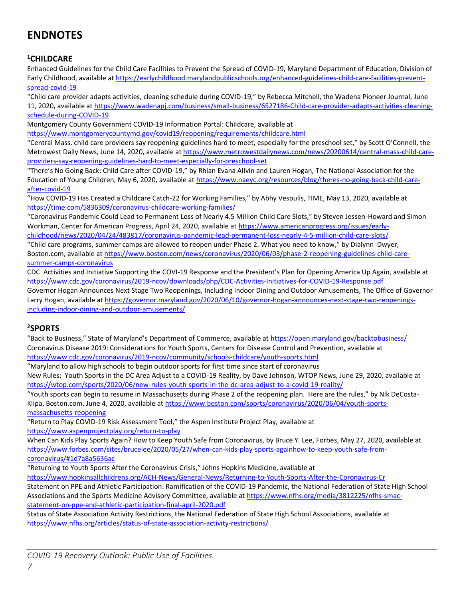### **ENDNOTES**

### **<sup>1</sup>CHILDCARE**

Enhanced Guidelines for the Child Care Facilities to Prevent the Spread of COVID-19, Maryland Department of Education, Division of Early Childhood, available at [https://earlychildhood.marylandpublicschools.org/enhanced-guidelines-child-care-facilities-prevent](https://earlychildhood.marylandpublicschools.org/enhanced-guidelines-child-care-facilities-prevent-spread-covid-19)[spread-covid-19](https://earlychildhood.marylandpublicschools.org/enhanced-guidelines-child-care-facilities-prevent-spread-covid-19)

"Child care provider adapts activities, cleaning schedule during COVID-19," by Rebecca Mitchell, the Wadena Pioneer Journal, June 11, 2020, available a[t https://www.wadenapj.com/business/small-business/6527186-Child-care-provider-adapts-activities-cleaning](https://www.wadenapj.com/business/small-business/6527186-Child-care-provider-adapts-activities-cleaning-schedule-during-COVID-19)[schedule-during-COVID-19](https://www.wadenapj.com/business/small-business/6527186-Child-care-provider-adapts-activities-cleaning-schedule-during-COVID-19)

Montgomery County Government COVID-19 Information Portal: Childcare, available at

<https://www.montgomerycountymd.gov/covid19/reopening/requirements/childcare.html>

"Central Mass. child care providers say reopening guidelines hard to meet, especially for the preschool set," by Scott O'Connell, the Metrowest Daily News, June 14, 2020, available a[t https://www.metrowestdailynews.com/news/20200614/central-mass-child-care](https://www.metrowestdailynews.com/news/20200614/central-mass-child-care-providers-say-reopening-guidelines-hard-to-meet-especially-for-preschool-set)[providers-say-reopening-guidelines-hard-to-meet-especially-for-preschool-set](https://www.metrowestdailynews.com/news/20200614/central-mass-child-care-providers-say-reopening-guidelines-hard-to-meet-especially-for-preschool-set)

"There's No Going Back: Child Care after COVID-19," by Rhian Evana Allvin and Lauren Hogan, The National Association for the Education of Young Children, May 6, 2020, available a[t https://www.naeyc.org/resources/blog/theres-no-going-back-child-care](https://www.naeyc.org/resources/blog/theres-no-going-back-child-care-after-covid-19)[after-covid-19](https://www.naeyc.org/resources/blog/theres-no-going-back-child-care-after-covid-19)

"How COVID-19 Has Created a Childcare Catch-22 for Working Families," by Abhy Vesoulis, TIME, May 13, 2020, available at <https://time.com/5836309/coronavirus-childcare-working-families/>

"Coronavirus Pandemic Could Lead to Permanent Loss of Nearly 4.5 Million Child Care Slots," by Steven Jessen-Howard and Simon Workman, Center for American Progress, April 24, 2020, available at [https://www.americanprogress.org/issues/early](https://www.americanprogress.org/issues/early-childhood/news/2020/04/24/483817/coronavirus-pandemic-lead-permanent-loss-nearly-4-5-million-child-care-slots/)[childhood/news/2020/04/24/483817/coronavirus-pandemic-lead-permanent-loss-nearly-4-5-million-child-care-slots/](https://www.americanprogress.org/issues/early-childhood/news/2020/04/24/483817/coronavirus-pandemic-lead-permanent-loss-nearly-4-5-million-child-care-slots/)

"Child care programs, summer camps are allowed to reopen under Phase 2. What you need to know," by Dialynn Dwyer, Boston.com, available at [https://www.boston.com/news/coronavirus/2020/06/03/phase-2-reopening-guidelines-child-care](https://www.boston.com/news/coronavirus/2020/06/03/phase-2-reopening-guidelines-child-care-summer-camps-coronavirus)[summer-camps-coronavirus](https://www.boston.com/news/coronavirus/2020/06/03/phase-2-reopening-guidelines-child-care-summer-camps-coronavirus)

CDC Activities and Initiative Supporting the COVI-19 Response and the President's Plan for Opening America Up Again, available at <https://www.cdc.gov/coronavirus/2019-ncov/downloads/php/CDC-Activities-Initiatives-for-COVID-19-Response.pdf>

Governor Hogan Announces Next Stage Two Reopenings, Including Indoor Dining and Outdoor Amusements, The Office of Governor Larry Hogan, available a[t https://governor.maryland.gov/2020/06/10/governor-hogan-announces-next-stage-two-reopenings](https://governor.maryland.gov/2020/06/10/governor-hogan-announces-next-stage-two-reopenings-including-indoor-dining-and-outdoor-amusements/)[including-indoor-dining-and-outdoor-amusements/](https://governor.maryland.gov/2020/06/10/governor-hogan-announces-next-stage-two-reopenings-including-indoor-dining-and-outdoor-amusements/)

#### **<sup>2</sup>SPORTS**

"Back to Business," State of Maryland's Department of Commerce, available at <https://open.maryland.gov/backtobusiness/> Coronavirus Disease 2019: Considerations for Youth Sports, Centers for Disease Control and Prevention, available at <https://www.cdc.gov/coronavirus/2019-ncov/community/schools-childcare/youth-sports.html>

"Maryland to allow high schools to begin outdoor sports for first time since start of coronavirus

New Rules: Youth Sports in the DC Area Adjust to a COVID-19 Reality, by Dave Johnson, WTOP News, June 29, 2020, available at <https://wtop.com/sports/2020/06/new-rules-youth-sports-in-the-dc-area-adjust-to-a-covid-19-reality/>

"Youth sports can begin to resume in Massachusetts during Phase 2 of the reopening plan. Here are the rules," by Nik DeCostaKlipa, Boston.com, June 4, 2020, available a[t https://www.boston.com/sports/coronavirus/2020/06/04/youth-sports](https://www.boston.com/sports/coronavirus/2020/06/04/youth-sports-massachusetts-reopening)[massachusetts-reopening](https://www.boston.com/sports/coronavirus/2020/06/04/youth-sports-massachusetts-reopening)

"Return to Play COVID-19 Risk Assessment Tool," the Aspen Institute Project Play, available at <https://www.aspenprojectplay.org/return-to-play>

When Can Kids Play Sports Again? How to Keep Youth Safe from Coronavirus, by Bruce Y. Lee, Forbes, May 27, 2020, available at [https://www.forbes.com/sites/brucelee/2020/05/27/when-can-kids-play-sports-againhow-to-keep-youth-safe-from](https://www.forbes.com/sites/brucelee/2020/05/27/when-can-kids-play-sports-againhow-to-keep-youth-safe-from-coronavirus/#1d7a8a5636ac)[coronavirus/#1d7a8a5636ac](https://www.forbes.com/sites/brucelee/2020/05/27/when-can-kids-play-sports-againhow-to-keep-youth-safe-from-coronavirus/#1d7a8a5636ac)

"Returning to Youth Sports After the Coronavirus Crisis," Johns Hopkins Medicine, available at

<https://www.hopkinsallchildrens.org/ACH-News/General-News/Returning-to-Youth-Sports-After-the-Coronavirus-Cr>

Statement on PPE and Athletic Participation: Ramification of the COVID-19 Pandemic, the National Federation of State High School Associations and the Sports Medicine Advisory Committee, available at [https://www.nfhs.org/media/3812225/nfhs-smac](https://www.nfhs.org/media/3812225/nfhs-smac-statement-on-ppe-and-athletic-participation-final-april-2020.pdf)[statement-on-ppe-and-athletic-participation-final-april-2020.pdf](https://www.nfhs.org/media/3812225/nfhs-smac-statement-on-ppe-and-athletic-participation-final-april-2020.pdf)

Status of State Association Activity Restrictions, the National Federation of State High School Associations, available at <https://www.nfhs.org/articles/status-of-state-association-activity-restrictions/>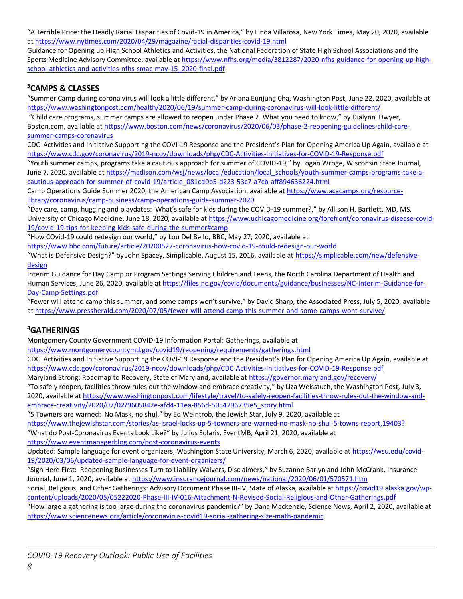"A Terrible Price: the Deadly Racial Disparities of Covid-19 in America," by Linda Villarosa, New York Times, May 20, 2020, available a[t https://www.nytimes.com/2020/04/29/magazine/racial-disparities-covid-19.html](https://www.nytimes.com/2020/04/29/magazine/racial-disparities-covid-19.html) 

Guidance for Opening up High School Athletics and Activities, the National Federation of State High School Associations and the Sports Medicine Advisory Committee, available a[t https://www.nfhs.org/media/3812287/2020-nfhs-guidance-for-opening-up-high](https://www.nfhs.org/media/3812287/2020-nfhs-guidance-for-opening-up-high-school-athletics-and-activities-nfhs-smac-may-15_2020-final.pdf)[school-athletics-and-activities-nfhs-smac-may-15\\_2020-final.pdf](https://www.nfhs.org/media/3812287/2020-nfhs-guidance-for-opening-up-high-school-athletics-and-activities-nfhs-smac-may-15_2020-final.pdf)

### **<sup>3</sup>CAMPS & CLASSES**

"Summer Camp during corona virus will look a little different," by Ariana Eunjung Cha, Washington Post, June 22, 2020, available at <https://www.washingtonpost.com/health/2020/06/19/summer-camp-during-coronavirus-will-look-little-different/>

"Child care programs, summer camps are allowed to reopen under Phase 2. What you need to know," by Dialynn Dwyer, Boston.com, available at [https://www.boston.com/news/coronavirus/2020/06/03/phase-2-reopening-guidelines-child-care](https://www.boston.com/news/coronavirus/2020/06/03/phase-2-reopening-guidelines-child-care-summer-camps-coronavirus)[summer-camps-coronavirus](https://www.boston.com/news/coronavirus/2020/06/03/phase-2-reopening-guidelines-child-care-summer-camps-coronavirus)

CDC Activities and Initiative Supporting the COVI-19 Response and the President's Plan for Opening America Up Again, available at <https://www.cdc.gov/coronavirus/2019-ncov/downloads/php/CDC-Activities-Initiatives-for-COVID-19-Response.pdf>

"Youth summer camps, programs take a cautious approach for summer of COVID-19," by Logan Wroge, Wisconsin State Journal, June 7, 2020, available a[t https://madison.com/wsj/news/local/education/local\\_schools/youth-summer-camps-programs-take-a](https://madison.com/wsj/news/local/education/local_schools/youth-summer-camps-programs-take-a-cautious-approach-for-summer-of-covid-19/article_081cd0b5-d223-53c7-a7cb-aff894636224.html)[cautious-approach-for-summer-of-covid-19/article\\_081cd0b5-d223-53c7-a7cb-aff894636224.html](https://madison.com/wsj/news/local/education/local_schools/youth-summer-camps-programs-take-a-cautious-approach-for-summer-of-covid-19/article_081cd0b5-d223-53c7-a7cb-aff894636224.html)

Camp Operations Guide Summer 2020, the American Camp Association, available at [https://www.acacamps.org/resource](https://www.acacamps.org/resource-library/coronavirus/camp-business/camp-operations-guide-summer-2020)[library/coronavirus/camp-business/camp-operations-guide-summer-2020](https://www.acacamps.org/resource-library/coronavirus/camp-business/camp-operations-guide-summer-2020)

"Day care, camp, hugging and playdates: What's safe for kids during the COVID-19 summer?," by Allison H. Bartlett, MD, MS, University of Chicago Medicine, June 18, 2020, available at [https://www.uchicagomedicine.org/forefront/coronavirus-disease-covid-](https://www.uchicagomedicine.org/forefront/coronavirus-disease-covid-19/covid-19-tips-for-keeping-kids-safe-during-the-summer#camp)[19/covid-19-tips-for-keeping-kids-safe-during-the-summer#camp](https://www.uchicagomedicine.org/forefront/coronavirus-disease-covid-19/covid-19-tips-for-keeping-kids-safe-during-the-summer#camp)

"How COvid-19 could redesign our world," by Lou Del Bello, BBC, May 27, 2020, available at <https://www.bbc.com/future/article/20200527-coronavirus-how-covid-19-could-redesign-our-world>

"What is Defensive Design?" by John Spacey, Simplicable, August 15, 2016, available at [https://simplicable.com/new/defensive](https://simplicable.com/new/defensive-design)[design](https://simplicable.com/new/defensive-design)

Interim Guidance for Day Camp or Program Settings Serving Children and Teens, the North Carolina Department of Health and Human Services, June 26, 2020, available at [https://files.nc.gov/covid/documents/guidance/businesses/NC-Interim-Guidance-for-](https://files.nc.gov/covid/documents/guidance/businesses/NC-Interim-Guidance-for-Day-Camp-Settings.pdf)[Day-Camp-Settings.pdf](https://files.nc.gov/covid/documents/guidance/businesses/NC-Interim-Guidance-for-Day-Camp-Settings.pdf)

"Fewer will attend camp this summer, and some camps won't survive," by David Sharp, the Associated Press, July 5, 2020, available a[t https://www.pressherald.com/2020/07/05/fewer-will-attend-camp-this-summer-and-some-camps-wont-survive/](https://www.pressherald.com/2020/07/05/fewer-will-attend-camp-this-summer-and-some-camps-wont-survive/)

#### **<sup>4</sup>GATHERINGS**

Montgomery County Government COVID-19 Information Portal: Gatherings, available at

<https://www.montgomerycountymd.gov/covid19/reopening/requirements/gatherings.html>

CDC Activities and Initiative Supporting the COVI-19 Response and the President's Plan for Opening America Up Again, available at <https://www.cdc.gov/coronavirus/2019-ncov/downloads/php/CDC-Activities-Initiatives-for-COVID-19-Response.pdf>

Maryland Strong: Roadmap to Recovery, State of Maryland, available at<https://governor.maryland.gov/recovery/>

"To safely reopen, facilities throw rules out the window and embrace creativity," by Liza Weisstuch, the Washington Post, July 3, 2020, available a[t https://www.washingtonpost.com/lifestyle/travel/to-safely-reopen-facilities-throw-rules-out-the-window-and](https://www.washingtonpost.com/lifestyle/travel/to-safely-reopen-facilities-throw-rules-out-the-window-and-embrace-creativity/2020/07/02/9605842e-afd4-11ea-856d-5054296735e5_story.html)[embrace-creativity/2020/07/02/9605842e-afd4-11ea-856d-5054296735e5\\_story.html](https://www.washingtonpost.com/lifestyle/travel/to-safely-reopen-facilities-throw-rules-out-the-window-and-embrace-creativity/2020/07/02/9605842e-afd4-11ea-856d-5054296735e5_story.html)

"5 Towners are warned: No Mask, no shul," by Ed Weintrob, the Jewish Star, July 9, 2020, available at

<https://www.thejewishstar.com/stories/as-israel-locks-up-5-towners-are-warned-no-mask-no-shul-5-towns-report,19403?>

"What do Post-Coronavirus Events Look Like?" by Julius Solaris, EventMB, April 21, 2020, available at

<https://www.eventmanagerblog.com/post-coronavirus-events>

Updated: Sample language for event organizers, Washington State University, March 6, 2020, available at [https://wsu.edu/covid-](https://wsu.edu/covid-19/2020/03/06/updated-sample-language-for-event-organizers/)[19/2020/03/06/updated-sample-language-for-event-organizers/](https://wsu.edu/covid-19/2020/03/06/updated-sample-language-for-event-organizers/)

"Sign Here First: Reopening Businesses Turn to Liability Waivers, Disclaimers," by Suzanne Barlyn and John McCrank, Insurance Journal, June 1, 2020, available a[t https://www.insurancejournal.com/news/national/2020/06/01/570571.htm](https://www.insurancejournal.com/news/national/2020/06/01/570571.htm)

Social, Religious, and Other Gatherings: Advisory Document Phase III-IV, State of Alaska, available a[t https://covid19.alaska.gov/wp](https://covid19.alaska.gov/wp-content/uploads/2020/05/05222020-Phase-III-IV-016-Attachment-N-Revised-Social-Religious-and-Other-Gatherings.pdf)[content/uploads/2020/05/05222020-Phase-III-IV-016-Attachment-N-Revised-Social-Religious-and-Other-Gatherings.pdf](https://covid19.alaska.gov/wp-content/uploads/2020/05/05222020-Phase-III-IV-016-Attachment-N-Revised-Social-Religious-and-Other-Gatherings.pdf)

"How large a gathering is too large during the coronavirus pandemic?" by Dana Mackenzie, Science News, April 2, 2020, available at <https://www.sciencenews.org/article/coronavirus-covid19-social-gathering-size-math-pandemic>